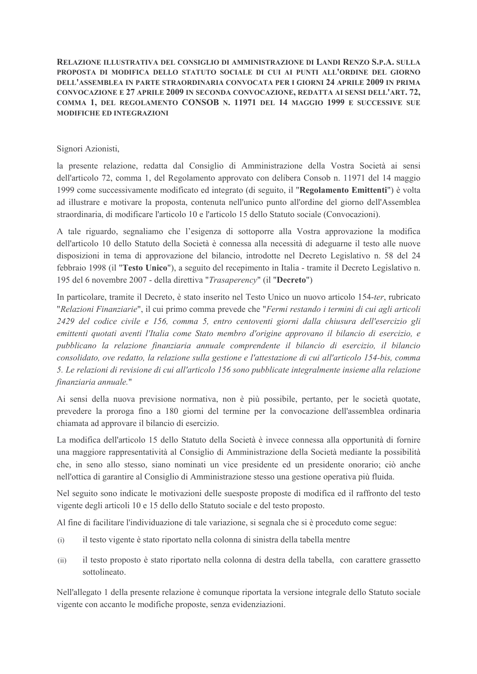RELAZIONE ILLUSTRATIVA DEL CONSIGLIO DI AMMINISTRAZIONE DI LANDI RENZO S.P.A. SULLA PROPOSTA DI MODIFICA DELLO STATUTO SOCIALE DI CUI AI PUNTI ALL'ORDINE DEL GIORNO DELL'ASSEMBLEA IN PARTE STRAORDINARIA CONVOCATA PER I GIORNI 24 APRILE 2009 IN PRIMA CONVOCAZIONE E 27 APRILE 2009 IN SECONDA CONVOCAZIONE, REDATTA AI SENSI DELL'ART. 72, COMMA 1, DEL REGOLAMENTO CONSOB N. 11971 DEL 14 MAGGIO 1999 E SUCCESSIVE SUE MODIFICHE ED INTEGRAZIONI

### Signori Azionisti,

la presente relazione, redatta dal Consiglio di Amministrazione della Vostra Società ai sensi dell'articolo 72, comma 1, del Regolamento approvato con delibera Consob n. 11971 del 14 maggio 1999 come successivamente modificato ed integrato (di seguito, il "Regolamento Emittenti") è volta ad illustrare e motivare la proposta, contenuta nell'unico punto all'ordine del giorno dell'Assemblea straordinaria, di modificare l'articolo 10 e l'articolo 15 dello Statuto sociale (Convocazioni).

A tale riguardo, segnaliamo che l'esigenza di sottoporre alla Vostra approvazione la modifica dell'articolo 10 dello Statuto della Società è connessa alla necessità di adeguarne il testo alle nuove disposizioni in tema di approvazione del bilancio, introdotte nel Decreto Legislativo n. 58 del 24 febbraio 1998 (il "Testo Unico"), a seguito del recepimento in Italia - tramite il Decreto Legislativo n. 195 del 6 novembre 2007 - della direttiva "Trasaperency" (il "Decreto")

In particolare, tramite il Decreto, è stato inserito nel Testo Unico un nuovo articolo 154-ter, rubricato "Relazioni Finanziarie", il cui primo comma prevede che "Fermi restando i termini di cui agli articoli 2429 del codice civile e 156, comma 5, entro centoventi giorni dalla chiusura dell'esercizio gli emittenti quotati aventi l'Italia come Stato membro d'origine approvano il bilancio di esercizio, e pubblicano la relazione finanziaria annuale comprendente il bilancio di esercizio, il bilancio consolidato, ove redatto, la relazione sulla gestione e l'attestazione di cui all'articolo 154-bis, comma 5. Le relazioni di revisione di cui all'articolo 156 sono pubblicate integralmente insieme alla relazione finanziaria annuale."

Ai sensi della nuova previsione normativa, non è più possibile, pertanto, per le società quotate, prevedere la proroga fino a 180 giorni del termine per la convocazione dell'assemblea ordinaria chiamata ad approvare il bilancio di esercizio.

La modifica dell'articolo 15 dello Statuto della Società è invece connessa alla opportunità di fornire una maggiore rappresentatività al Consiglio di Amministrazione della Società mediante la possibilità che, in seno allo stesso, siano nominati un vice presidente ed un presidente onorario; ciò anche nell'ottica di garantire al Consiglio di Amministrazione stesso una gestione operativa più fluida.

Nel seguito sono indicate le motivazioni delle suesposte proposte di modifica ed il raffronto del testo vigente degli articoli 10 e 15 dello dello Statuto sociale e del testo proposto.

Al fine di facilitare l'individuazione di tale variazione, si segnala che si è proceduto come segue:

- il testo vigente è stato riportato nella colonna di sinistra della tabella mentre  $(i)$
- il testo proposto è stato riportato nella colonna di destra della tabella, con carattere grassetto  $(ii)$ sottolineato.

Nell'allegato 1 della presente relazione è comunque riportata la versione integrale dello Statuto sociale vigente con accanto le modifiche proposte, senza evidenziazioni.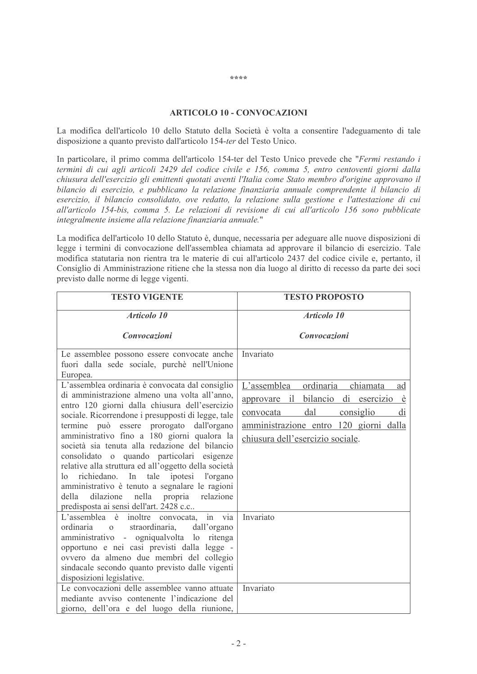#### **ARTICOLO 10 - CONVOCAZIONI**

La modifica dell'articolo 10 dello Statuto della Società è volta a consentire l'adeguamento di tale disposizione a quanto previsto dall'articolo 154-ter del Testo Unico.

In particolare, il primo comma dell'articolo 154-ter del Testo Unico prevede che "Fermi restando i termini di cui agli articoli 2429 del codice civile e 156, comma 5, entro centoventi giorni dalla chiusura dell'esercizio gli emittenti quotati aventi l'Italia come Stato membro d'origine approvano il bilancio di esercizio, e pubblicano la relazione finanziaria annuale comprendente il bilancio di esercizio, il bilancio consolidato, ove redatto, la relazione sulla gestione e l'attestazione di cui all'articolo 154-bis, comma 5. Le relazioni di revisione di cui all'articolo 156 sono pubblicate integralmente insieme alla relazione finanziaria annuale."

La modifica dell'articolo 10 dello Statuto è, dunque, necessaria per adeguare alle nuove disposizioni di legge i termini di convocazione dell'assemblea chiamata ad approvare il bilancio di esercizio. Tale modifica statutaria non rientra tra le materie di cui all'articolo 2437 del codice civile e, pertanto, il Consiglio di Amministrazione ritiene che la stessa non dia luogo al diritto di recesso da parte dei soci previsto dalle norme di legge vigenti.

| <b>TESTO VIGENTE</b>                                                                                    | <b>TESTO PROPOSTO</b>                                       |
|---------------------------------------------------------------------------------------------------------|-------------------------------------------------------------|
| Articolo 10                                                                                             | Articolo 10                                                 |
| Convocazioni                                                                                            | Convocazioni                                                |
| Le assemblee possono essere convocate anche<br>fuori dalla sede sociale, purchè nell'Unione<br>Europea. | Invariato                                                   |
| L'assemblea ordinaria è convocata dal consiglio                                                         | ordinaria<br>chiamata<br>L'assemblea<br>ad                  |
| di amministrazione almeno una volta all'anno,<br>entro 120 giorni dalla chiusura dell'esercizio         | bilancio<br>di esercizio<br>$i\mathbf{l}$<br>approvare<br>è |
| sociale. Ricorrendone i presupposti di legge, tale                                                      | dal<br>di<br>consiglio<br>convocata                         |
| termine può essere prorogato dall'organo                                                                | amministrazione entro 120 giorni dalla                      |
| amministrativo fino a 180 giorni qualora la<br>società sia tenuta alla redazione del bilancio           | chiusura dell'esercizio sociale.                            |
| consolidato o quando particolari esigenze                                                               |                                                             |
| relative alla struttura ed all'oggetto della società                                                    |                                                             |
| richiedano. In tale ipotesi l'organo<br>$\log$                                                          |                                                             |
| amministrativo è tenuto a segnalare le ragioni<br>dilazione nella propria<br>relazione<br>della         |                                                             |
| predisposta ai sensi dell'art. 2428 c.c                                                                 |                                                             |
| L'assemblea è inoltre convocata,<br>in via                                                              | Invariato                                                   |
| ordinaria o<br>straordinaria,<br>dall'organo                                                            |                                                             |
| amministrativo - ogniqualvolta lo ritenga<br>opportuno e nei casi previsti dalla legge -                |                                                             |
| ovvero da almeno due membri del collegio                                                                |                                                             |
| sindacale secondo quanto previsto dalle vigenti                                                         |                                                             |
| disposizioni legislative.                                                                               |                                                             |
| Le convocazioni delle assemblee vanno attuate<br>mediante avviso contenente l'indicazione del           | Invariato                                                   |
| giorno, dell'ora e del luogo della riunione,                                                            |                                                             |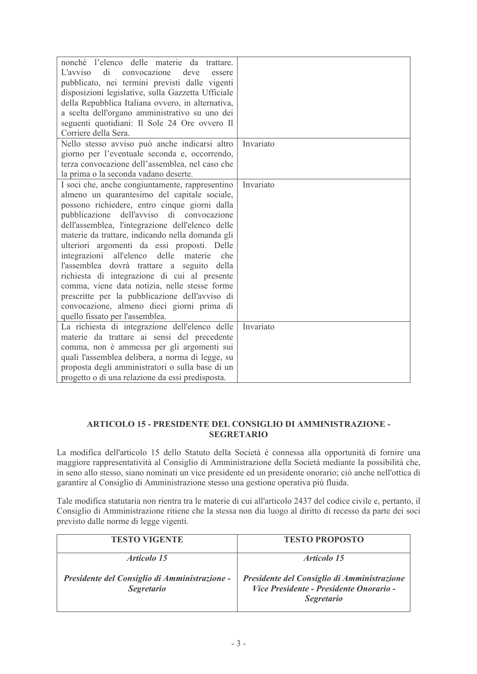| nonché l'elenco delle materie da trattare.<br>di<br>L'avviso<br>convocazione<br>deve<br>essere<br>pubblicato, nei termini previsti dalle vigenti<br>disposizioni legislative, sulla Gazzetta Ufficiale<br>della Repubblica Italiana ovvero, in alternativa,<br>a scelta dell'organo amministrativo su uno dei<br>seguenti quotidiani: Il Sole 24 Ore ovvero Il<br>Corriere della Sera.                                                                                                                                                                                                                                                                                                       |           |
|----------------------------------------------------------------------------------------------------------------------------------------------------------------------------------------------------------------------------------------------------------------------------------------------------------------------------------------------------------------------------------------------------------------------------------------------------------------------------------------------------------------------------------------------------------------------------------------------------------------------------------------------------------------------------------------------|-----------|
| Nello stesso avviso può anche indicarsi altro<br>giorno per l'eventuale seconda e, occorrendo,<br>terza convocazione dell'assemblea, nel caso che<br>la prima o la seconda vadano deserte.                                                                                                                                                                                                                                                                                                                                                                                                                                                                                                   | Invariato |
| I soci che, anche congiuntamente, rappresentino<br>almeno un quarantesimo del capitale sociale,<br>possono richiedere, entro cinque giorni dalla<br>dell'avviso di convocazione<br>pubblicazione<br>dell'assemblea, l'integrazione dell'elenco delle<br>materie da trattare, indicando nella domanda gli<br>ulteriori argomenti da essi proposti. Delle<br>integrazioni<br>all'elenco delle materie<br>che<br>l'assemblea dovrà trattare a seguito della<br>richiesta di integrazione di cui al presente<br>comma, viene data notizia, nelle stesse forme<br>prescritte per la pubblicazione dell'avviso di<br>convocazione, almeno dieci giorni prima di<br>quello fissato per l'assemblea. | Invariato |
| La richiesta di integrazione dell'elenco delle<br>materie da trattare ai sensi del precedente<br>comma, non è ammessa per gli argomenti sui<br>quali l'assemblea delibera, a norma di legge, su<br>proposta degli amministratori o sulla base di un<br>progetto o di una relazione da essi predisposta.                                                                                                                                                                                                                                                                                                                                                                                      | Invariato |

### ARTICOLO 15 - PRESIDENTE DEL CONSIGLIO DI AMMINISTRAZIONE -**SEGRETARIO**

La modifica dell'articolo 15 dello Statuto della Società è connessa alla opportunità di fornire una maggiore rappresentatività al Consiglio di Amministrazione della Società mediante la possibilità che, in seno allo stesso, siano nominati un vice presidente ed un presidente onorario; ciò anche nell'ottica di garantire al Consiglio di Amministrazione stesso una gestione operativa più fluida.

Tale modifica statutaria non rientra tra le materie di cui all'articolo 2437 del codice civile e, pertanto, il Consiglio di Amministrazione ritiene che la stessa non dia luogo al diritto di recesso da parte dei soci previsto dalle norme di legge vigenti.

| <b>TESTO VIGENTE</b>                                               | <b>TESTO PROPOSTO</b>                                                                                       |
|--------------------------------------------------------------------|-------------------------------------------------------------------------------------------------------------|
| <i>Articolo 15</i>                                                 | Articolo 15                                                                                                 |
| Presidente del Consiglio di Amministrazione -<br><i>Segretario</i> | Presidente del Consiglio di Amministrazione<br>Vice Presidente - Presidente Onorario -<br><b>Segretario</b> |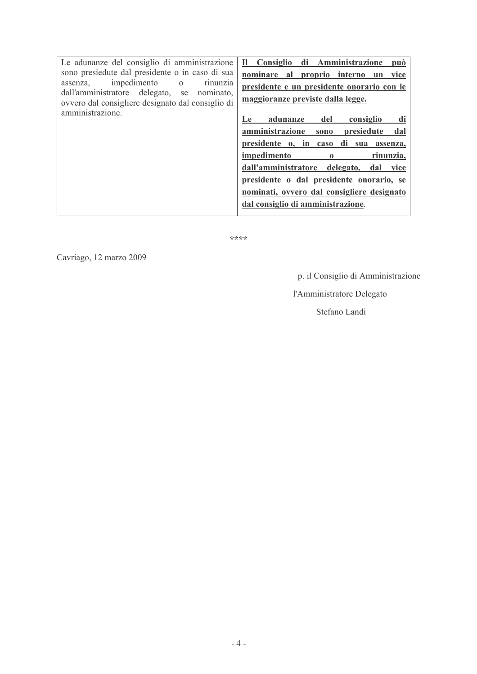| Le adunanze del consiglio di amministrazione                                                         | Consiglio di Amministrazione<br>$\mathbf{n}$<br>può |
|------------------------------------------------------------------------------------------------------|-----------------------------------------------------|
| sono presiedute dal presidente o in caso di sua                                                      | nominare al<br>proprio interno un<br>vice           |
| impedimento<br>$\mathbf{O}$<br>assenza,<br>rinunzia<br>dall'amministratore delegato, se<br>nominato. | presidente e un presidente onorario con le          |
| ovvero dal consigliere designato dal consiglio di                                                    | maggioranze previste dalla legge.                   |
| amministrazione.                                                                                     | adunanze<br>del<br>di<br>consiglio<br><b>Le</b>     |
|                                                                                                      | amministrazione<br>presiedute<br>dal<br>sono        |
|                                                                                                      | presidente o, in caso di sua<br>assenza,            |
|                                                                                                      | impedimento<br>rinunzia,<br>$\bf{0}$                |
|                                                                                                      | dall'amministratore delegato,<br>dal<br>vice        |
|                                                                                                      | presidente o dal presidente onorario, se            |
|                                                                                                      | nominati, ovvero dal consigliere designato          |
|                                                                                                      | dal consiglio di amministrazione.                   |

\*\*\*\*

Cavriago, 12 marzo 2009

p. il Consiglio di Amministrazione

l'Amministratore Delegato

Stefano Landi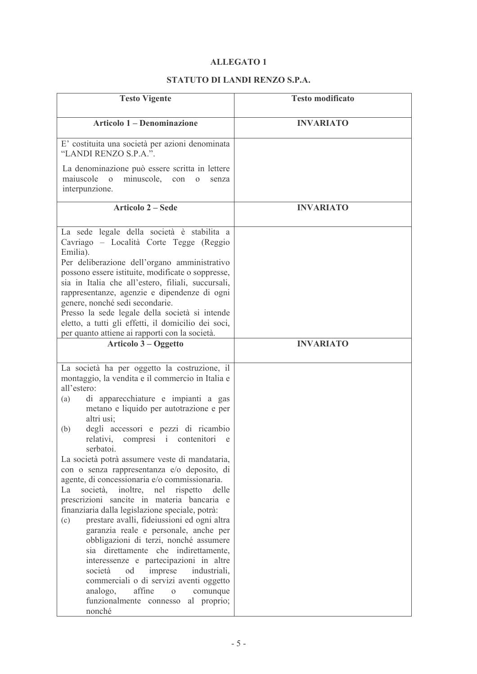# **ALLEGATO 1**

# STATUTO DI LANDI RENZO S.P.A.

| <b>Testo Vigente</b>                                                                                                                                                                                                                                                                                                                                                                                                                                                                                                                                                                                                                                                                                                                                                                                                                                                                                                                                                                                                                                        | <b>Testo modificato</b> |
|-------------------------------------------------------------------------------------------------------------------------------------------------------------------------------------------------------------------------------------------------------------------------------------------------------------------------------------------------------------------------------------------------------------------------------------------------------------------------------------------------------------------------------------------------------------------------------------------------------------------------------------------------------------------------------------------------------------------------------------------------------------------------------------------------------------------------------------------------------------------------------------------------------------------------------------------------------------------------------------------------------------------------------------------------------------|-------------------------|
| <b>Articolo 1 – Denominazione</b>                                                                                                                                                                                                                                                                                                                                                                                                                                                                                                                                                                                                                                                                                                                                                                                                                                                                                                                                                                                                                           | <b>INVARIATO</b>        |
| E' costituita una società per azioni denominata<br>"LANDI RENZO S.P.A.".                                                                                                                                                                                                                                                                                                                                                                                                                                                                                                                                                                                                                                                                                                                                                                                                                                                                                                                                                                                    |                         |
| La denominazione può essere scritta in lettere<br>maiuscole<br>minuscole,<br>$\Omega$<br>con<br>$\mathbf{O}$<br>senza<br>interpunzione.                                                                                                                                                                                                                                                                                                                                                                                                                                                                                                                                                                                                                                                                                                                                                                                                                                                                                                                     |                         |
| <b>Articolo 2 – Sede</b>                                                                                                                                                                                                                                                                                                                                                                                                                                                                                                                                                                                                                                                                                                                                                                                                                                                                                                                                                                                                                                    | <b>INVARIATO</b>        |
| La sede legale della società è stabilita a<br>Cavriago - Località Corte Tegge (Reggio<br>Emilia).<br>Per deliberazione dell'organo amministrativo<br>possono essere istituite, modificate o soppresse,<br>sia in Italia che all'estero, filiali, succursali,<br>rappresentanze, agenzie e dipendenze di ogni<br>genere, nonché sedi secondarie.<br>Presso la sede legale della società si intende<br>eletto, a tutti gli effetti, il domicilio dei soci,<br>per quanto attiene ai rapporti con la società.                                                                                                                                                                                                                                                                                                                                                                                                                                                                                                                                                  |                         |
| Articolo 3 – Oggetto                                                                                                                                                                                                                                                                                                                                                                                                                                                                                                                                                                                                                                                                                                                                                                                                                                                                                                                                                                                                                                        | <b>INVARIATO</b>        |
| La società ha per oggetto la costruzione, il<br>montaggio, la vendita e il commercio in Italia e<br>all'estero:<br>di apparecchiature e impianti a gas<br>(a)<br>metano e liquido per autotrazione e per<br>altri usi;<br>degli accessori e pezzi di ricambio<br>(b)<br>relativi, compresi i contenitori<br>e<br>serbatoi.<br>La società potrà assumere veste di mandataria,<br>con o senza rappresentanza e/o deposito, di<br>agente, di concessionaria e/o commissionaria.<br>La<br>società,<br>inoltre,<br>nel<br>rispetto<br>delle<br>prescrizioni sancite in materia bancaria e<br>finanziaria dalla legislazione speciale, potrà:<br>prestare avalli, fideiussioni ed ogni altra<br>(c)<br>garanzia reale e personale, anche per<br>obbligazioni di terzi, nonché assumere<br>sia direttamente che indirettamente,<br>interessenze e partecipazioni in altre<br>società<br>od<br>imprese<br>industriali,<br>commerciali o di servizi aventi oggetto<br>affine<br>analogo,<br>comunque<br>$\Omega$<br>funzionalmente connesso<br>al proprio;<br>nonché |                         |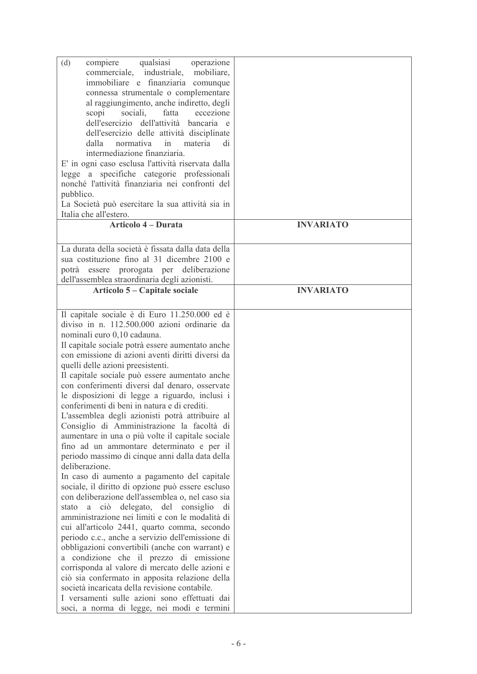| qualsiasi<br>(d)<br>compiere<br>operazione                                             |                  |
|----------------------------------------------------------------------------------------|------------------|
| commerciale, industriale,<br>mobiliare,                                                |                  |
| immobiliare e finanziaria comunque                                                     |                  |
| connessa strumentale o complementare                                                   |                  |
| al raggiungimento, anche indiretto, degli                                              |                  |
| scopi<br>sociali, fatta<br>eccezione                                                   |                  |
| dell'esercizio dell'attività bancaria e                                                |                  |
|                                                                                        |                  |
| dell'esercizio delle attività disciplinate                                             |                  |
| dalla<br>materia<br>normativa<br>in<br>di                                              |                  |
| intermediazione finanziaria.                                                           |                  |
| E' in ogni caso esclusa l'attività riservata dalla                                     |                  |
| legge a specifiche categorie professionali                                             |                  |
| nonché l'attività finanziaria nei confronti del                                        |                  |
| pubblico.                                                                              |                  |
| La Società può esercitare la sua attività sia in                                       |                  |
| Italia che all'estero.                                                                 |                  |
| <b>Articolo 4 – Durata</b>                                                             | <b>INVARIATO</b> |
|                                                                                        |                  |
| La durata della società è fissata dalla data della                                     |                  |
| sua costituzione fino al 31 dicembre 2100 e                                            |                  |
| essere prorogata per deliberazione<br>potrà                                            |                  |
| dell'assemblea straordinaria degli azionisti.                                          |                  |
| Articolo 5 – Capitale sociale                                                          | <b>INVARIATO</b> |
|                                                                                        |                  |
|                                                                                        |                  |
| Il capitale sociale è di Euro 11.250.000 ed è                                          |                  |
| diviso in n. 112.500.000 azioni ordinarie da                                           |                  |
| nominali euro 0,10 cadauna.                                                            |                  |
| Il capitale sociale potrà essere aumentato anche                                       |                  |
| con emissione di azioni aventi diritti diversi da                                      |                  |
| quelli delle azioni preesistenti.                                                      |                  |
| Il capitale sociale può essere aumentato anche                                         |                  |
| con conferimenti diversi dal denaro, osservate                                         |                  |
| le disposizioni di legge a riguardo, inclusi i                                         |                  |
| conferimenti di beni in natura e di crediti.                                           |                  |
| L'assemblea degli azionisti potrà attribuire al                                        |                  |
| Consiglio di Amministrazione la facoltà di                                             |                  |
| aumentare in una o più volte il capitale sociale                                       |                  |
| fino ad un ammontare determinato e per il                                              |                  |
| periodo massimo di cinque anni dalla data della                                        |                  |
| deliberazione.                                                                         |                  |
| In caso di aumento a pagamento del capitale                                            |                  |
| sociale, il diritto di opzione può essere escluso                                      |                  |
| con deliberazione dell'assemblea o, nel caso sia                                       |                  |
| di                                                                                     |                  |
| stato a ciò delegato, del consiglio<br>amministrazione nei limiti e con le modalità di |                  |
|                                                                                        |                  |
| cui all'articolo 2441, quarto comma, secondo                                           |                  |
| periodo c.c., anche a servizio dell'emissione di                                       |                  |
| obbligazioni convertibili (anche con warrant) e                                        |                  |
| a condizione che il prezzo di emissione                                                |                  |
| corrisponda al valore di mercato delle azioni e                                        |                  |
| ciò sia confermato in apposita relazione della                                         |                  |
| società incaricata della revisione contabile.                                          |                  |
| I versamenti sulle azioni sono effettuati dai                                          |                  |
| soci, a norma di legge, nei modi e termini                                             |                  |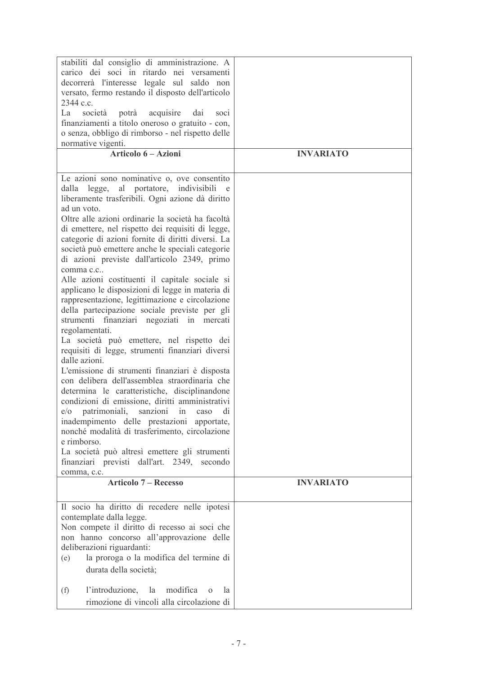| stabiliti dal consiglio di amministrazione. A<br>carico dei soci in ritardo nei versamenti<br>decorrerà l'interesse legale sul saldo non<br>versato, fermo restando il disposto dell'articolo<br>2344 c.c.<br>La<br>acquisire<br>società<br>potrà<br>dai<br>SOC1                                                                                                                                                                                                                                                                                                                                                                                                                                                                                                                                                                                                                                                                                                                                                                                                                                                                                                                                                                                                                                                                          |                  |
|-------------------------------------------------------------------------------------------------------------------------------------------------------------------------------------------------------------------------------------------------------------------------------------------------------------------------------------------------------------------------------------------------------------------------------------------------------------------------------------------------------------------------------------------------------------------------------------------------------------------------------------------------------------------------------------------------------------------------------------------------------------------------------------------------------------------------------------------------------------------------------------------------------------------------------------------------------------------------------------------------------------------------------------------------------------------------------------------------------------------------------------------------------------------------------------------------------------------------------------------------------------------------------------------------------------------------------------------|------------------|
| finanziamenti a titolo oneroso o gratuito - con,                                                                                                                                                                                                                                                                                                                                                                                                                                                                                                                                                                                                                                                                                                                                                                                                                                                                                                                                                                                                                                                                                                                                                                                                                                                                                          |                  |
| o senza, obbligo di rimborso - nel rispetto delle<br>normative vigenti.                                                                                                                                                                                                                                                                                                                                                                                                                                                                                                                                                                                                                                                                                                                                                                                                                                                                                                                                                                                                                                                                                                                                                                                                                                                                   |                  |
| Articolo 6 – Azioni                                                                                                                                                                                                                                                                                                                                                                                                                                                                                                                                                                                                                                                                                                                                                                                                                                                                                                                                                                                                                                                                                                                                                                                                                                                                                                                       | <b>INVARIATO</b> |
|                                                                                                                                                                                                                                                                                                                                                                                                                                                                                                                                                                                                                                                                                                                                                                                                                                                                                                                                                                                                                                                                                                                                                                                                                                                                                                                                           |                  |
| Le azioni sono nominative o, ove consentito<br>dalla legge, al portatore, indivisibili<br>e e<br>liberamente trasferibili. Ogni azione dà diritto<br>ad un voto.<br>Oltre alle azioni ordinarie la società ha facoltà<br>di emettere, nel rispetto dei requisiti di legge,<br>categorie di azioni fornite di diritti diversi. La<br>società può emettere anche le speciali categorie<br>di azioni previste dall'articolo 2349, primo<br>comma c.c<br>Alle azioni costituenti il capitale sociale si<br>applicano le disposizioni di legge in materia di<br>rappresentazione, legittimazione e circolazione<br>della partecipazione sociale previste per gli<br>strumenti finanziari negoziati in<br>mercati<br>regolamentati.<br>La società può emettere, nel rispetto dei<br>requisiti di legge, strumenti finanziari diversi<br>dalle azioni.<br>L'emissione di strumenti finanziari è disposta<br>con delibera dell'assemblea straordinaria che<br>determina le caratteristiche, disciplinandone<br>condizioni di emissione, diritti amministrativi<br>patrimoniali, sanzioni in caso<br>$e$ / $o$<br>di<br>inadempimento delle prestazioni apportate,<br>nonché modalità di trasferimento, circolazione<br>e rimborso.<br>La società può altresì emettere gli strumenti<br>finanziari previsti dall'art. 2349, secondo<br>comma, c.c. |                  |
| <b>Articolo 7 – Recesso</b>                                                                                                                                                                                                                                                                                                                                                                                                                                                                                                                                                                                                                                                                                                                                                                                                                                                                                                                                                                                                                                                                                                                                                                                                                                                                                                               | <b>INVARIATO</b> |
| Il socio ha diritto di recedere nelle ipotesi<br>contemplate dalla legge.<br>Non compete il diritto di recesso ai soci che<br>non hanno concorso all'approvazione delle<br>deliberazioni riguardanti:<br>la proroga o la modifica del termine di<br>(e)<br>durata della società;<br>l'introduzione,<br>modifica<br>la<br>(f)<br>la<br>$\Omega$<br>rimozione di vincoli alla circolazione di                                                                                                                                                                                                                                                                                                                                                                                                                                                                                                                                                                                                                                                                                                                                                                                                                                                                                                                                               |                  |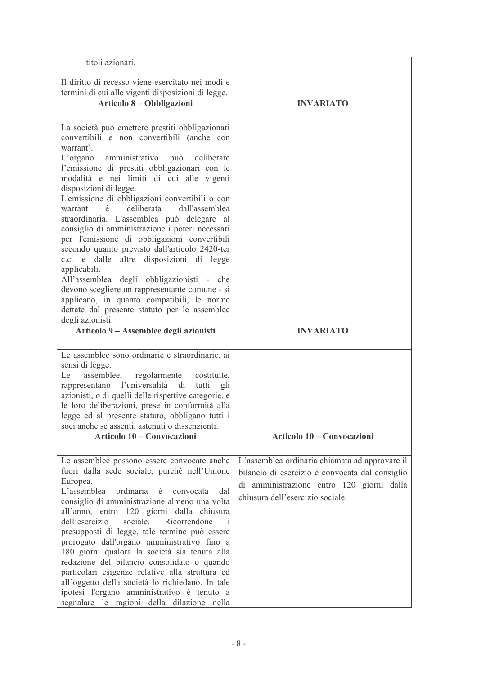| titoli azionari.                                                                                                                                                                                                                                                                                                                                                                                                                                                                                                                                                                                                                                                                                                                                                                                                                                  |                                                                                                                                                                                    |
|---------------------------------------------------------------------------------------------------------------------------------------------------------------------------------------------------------------------------------------------------------------------------------------------------------------------------------------------------------------------------------------------------------------------------------------------------------------------------------------------------------------------------------------------------------------------------------------------------------------------------------------------------------------------------------------------------------------------------------------------------------------------------------------------------------------------------------------------------|------------------------------------------------------------------------------------------------------------------------------------------------------------------------------------|
|                                                                                                                                                                                                                                                                                                                                                                                                                                                                                                                                                                                                                                                                                                                                                                                                                                                   |                                                                                                                                                                                    |
| Il diritto di recesso viene esercitato nei modi e<br>termini di cui alle vigenti disposizioni di legge.                                                                                                                                                                                                                                                                                                                                                                                                                                                                                                                                                                                                                                                                                                                                           |                                                                                                                                                                                    |
| Articolo 8 – Obbligazioni                                                                                                                                                                                                                                                                                                                                                                                                                                                                                                                                                                                                                                                                                                                                                                                                                         | <b>INVARIATO</b>                                                                                                                                                                   |
|                                                                                                                                                                                                                                                                                                                                                                                                                                                                                                                                                                                                                                                                                                                                                                                                                                                   |                                                                                                                                                                                    |
| La società può emettere prestiti obbligazionari<br>convertibili e non convertibili (anche con<br>warrant).<br>amministrativo può deliberare<br>$L'$ organo<br>l'emissione di prestiti obbligazionari con le<br>modalità e nei limiti di cui alle vigenti<br>disposizioni di legge.<br>L'emissione di obbligazioni convertibili o con<br>deliberata<br>dall'assemblea<br>warrant<br>è<br>straordinaria. L'assemblea può delegare al<br>consiglio di amministrazione i poteri necessari<br>per l'emissione di obbligazioni convertibili<br>secondo quanto previsto dall'articolo 2420-ter<br>c.c. e dalle altre disposizioni di legge<br>applicabili.<br>All'assemblea degli obbligazionisti - che<br>devono scegliere un rappresentante comune - si<br>applicano, in quanto compatibili, le norme<br>dettate dal presente statuto per le assemblee |                                                                                                                                                                                    |
| degli azionisti.                                                                                                                                                                                                                                                                                                                                                                                                                                                                                                                                                                                                                                                                                                                                                                                                                                  |                                                                                                                                                                                    |
| Articolo 9 – Assemblee degli azionisti                                                                                                                                                                                                                                                                                                                                                                                                                                                                                                                                                                                                                                                                                                                                                                                                            | <b>INVARIATO</b>                                                                                                                                                                   |
| Le assemblee sono ordinarie e straordinarie, ai<br>sensi di legge.<br>assemblee,<br>Le<br>regolarmente<br>costituite,<br>rappresentano l'universalità di<br>tutti<br>gli<br>azionisti, o di quelli delle rispettive categorie, e<br>le loro deliberazioni, prese in conformità alla<br>legge ed al presente statuto, obbligano tutti i<br>soci anche se assenti, astenuti o dissenzienti.                                                                                                                                                                                                                                                                                                                                                                                                                                                         |                                                                                                                                                                                    |
| Articolo 10 – Convocazioni                                                                                                                                                                                                                                                                                                                                                                                                                                                                                                                                                                                                                                                                                                                                                                                                                        | Articolo 10 – Convocazioni                                                                                                                                                         |
|                                                                                                                                                                                                                                                                                                                                                                                                                                                                                                                                                                                                                                                                                                                                                                                                                                                   |                                                                                                                                                                                    |
| Le assemblee possono essere convocate anche<br>fuori dalla sede sociale, purché nell'Unione<br>Europea.<br>L'assemblea<br>ordinaria<br>è<br>convocata<br>dal<br>consiglio di amministrazione almeno una volta<br>all'anno, entro 120 giorni dalla chiusura<br>dell'esercizio<br>sociale.<br>Ricorrendone<br>$\mathbf{1}$<br>presupposti di legge, tale termine può essere<br>prorogato dall'organo amministrativo fino a<br>180 giorni qualora la società sia tenuta alla<br>redazione del bilancio consolidato o quando<br>particolari esigenze relative alla struttura ed<br>all'oggetto della società lo richiedano. In tale<br>ipotesi l'organo amministrativo è tenuto a<br>segnalare le ragioni della dilazione nella                                                                                                                       | L'assemblea ordinaria chiamata ad approvare il<br>bilancio di esercizio è convocata dal consiglio<br>di amministrazione entro 120 giorni dalla<br>chiusura dell'esercizio sociale. |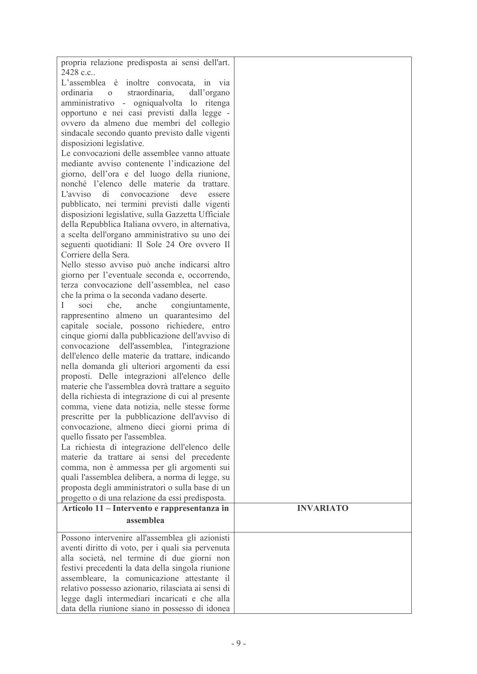| propria relazione predisposta ai sensi dell'art.<br>2428 c.c |                  |
|--------------------------------------------------------------|------------------|
| L'assemblea è<br>inoltre convocata, in via                   |                  |
| ordinaria<br>straordinaria,<br>dall'organo<br>$\overline{O}$ |                  |
|                                                              |                  |
| amministrativo - ogniqualvolta lo ritenga                    |                  |
| opportuno e nei casi previsti dalla legge -                  |                  |
| ovvero da almeno due membri del collegio                     |                  |
| sindacale secondo quanto previsto dalle vigenti              |                  |
| disposizioni legislative.                                    |                  |
| Le convocazioni delle assemblee vanno attuate                |                  |
| mediante avviso contenente l'indicazione del                 |                  |
| giorno, dell'ora e del luogo della riunione,                 |                  |
| nonché l'elenco delle materie da trattare.                   |                  |
| di<br>L'avviso<br>convocazione<br>deve<br>essere             |                  |
| pubblicato, nei termini previsti dalle vigenti               |                  |
| disposizioni legislative, sulla Gazzetta Ufficiale           |                  |
| della Repubblica Italiana ovvero, in alternativa,            |                  |
| a scelta dell'organo amministrativo su uno dei               |                  |
| seguenti quotidiani: Il Sole 24 Ore ovvero Il                |                  |
| Corriere della Sera.                                         |                  |
| Nello stesso avviso può anche indicarsi altro                |                  |
| giorno per l'eventuale seconda e, occorrendo,                |                  |
| terza convocazione dell'assemblea, nel caso                  |                  |
| che la prima o la seconda vadano deserte.                    |                  |
| soci<br>anche<br>congiuntamente,<br>L<br>che,                |                  |
| rappresentino almeno un quarantesimo del                     |                  |
| capitale sociale, possono richiedere, entro                  |                  |
| cinque giorni dalla pubblicazione dell'avviso di             |                  |
| dell'assemblea, l'integrazione<br>convocazione               |                  |
| dell'elenco delle materie da trattare, indicando             |                  |
| nella domanda gli ulteriori argomenti da essi                |                  |
| proposti. Delle integrazioni all'elenco delle                |                  |
| materie che l'assemblea dovrà trattare a seguito             |                  |
| della richiesta di integrazione di cui al presente           |                  |
| comma, viene data notizia, nelle stesse forme                |                  |
| prescritte per la pubblicazione dell'avviso di               |                  |
| convocazione, almeno dieci giorni prima di                   |                  |
| quello fissato per l'assemblea.                              |                  |
| La richiesta di integrazione dell'elenco delle               |                  |
| materie da trattare ai sensi del precedente                  |                  |
| comma, non è ammessa per gli argomenti sui                   |                  |
| quali l'assemblea delibera, a norma di legge, su             |                  |
| proposta degli amministratori o sulla base di un             |                  |
| progetto o di una relazione da essi predisposta.             |                  |
| Articolo 11 – Intervento e rappresentanza in                 | <b>INVARIATO</b> |
| assemblea                                                    |                  |
|                                                              |                  |
| Possono intervenire all'assemblea gli azionisti              |                  |
| aventi diritto di voto, per i quali sia pervenuta            |                  |
| alla società, nel termine di due giorni non                  |                  |
| festivi precedenti la data della singola riunione            |                  |
| assembleare, la comunicazione attestante il                  |                  |
| relativo possesso azionario, rilasciata ai sensi di          |                  |
| legge dagli intermediari incaricati e che alla               |                  |
| data della riunione siano in possesso di idonea              |                  |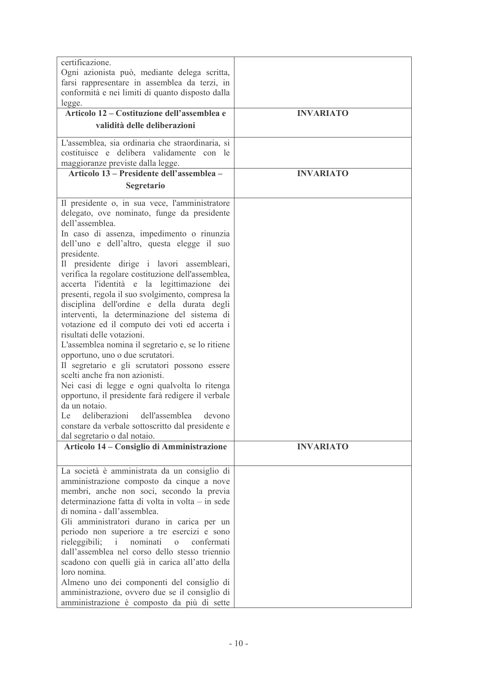| certificazione.<br>Ogni azionista può, mediante delega scritta,<br>farsi rappresentare in assemblea da terzi, in<br>conformità e nei limiti di quanto disposto dalla<br>legge.<br>Articolo 12 – Costituzione dell'assemblea e<br>validità delle deliberazioni                                                                                                                                                                                                                                                                                                                                                                                                                                                                                                                                                                                                                                                                                                                                                                                      | <b>INVARIATO</b> |
|----------------------------------------------------------------------------------------------------------------------------------------------------------------------------------------------------------------------------------------------------------------------------------------------------------------------------------------------------------------------------------------------------------------------------------------------------------------------------------------------------------------------------------------------------------------------------------------------------------------------------------------------------------------------------------------------------------------------------------------------------------------------------------------------------------------------------------------------------------------------------------------------------------------------------------------------------------------------------------------------------------------------------------------------------|------------------|
| L'assemblea, sia ordinaria che straordinaria, si<br>costituisce e delibera validamente con le<br>maggioranze previste dalla legge.                                                                                                                                                                                                                                                                                                                                                                                                                                                                                                                                                                                                                                                                                                                                                                                                                                                                                                                 |                  |
| Articolo 13 – Presidente dell'assemblea –<br>Segretario                                                                                                                                                                                                                                                                                                                                                                                                                                                                                                                                                                                                                                                                                                                                                                                                                                                                                                                                                                                            | <b>INVARIATO</b> |
| Il presidente o, in sua vece, l'amministratore<br>delegato, ove nominato, funge da presidente<br>dell'assemblea.<br>In caso di assenza, impedimento o rinunzia<br>dell'uno e dell'altro, questa elegge il suo<br>presidente.<br>Il presidente dirige i lavori assembleari,<br>verifica la regolare costituzione dell'assemblea,<br>accerta l'identità e la legittimazione dei<br>presenti, regola il suo svolgimento, compresa la<br>disciplina dell'ordine e della durata degli<br>interventi, la determinazione del sistema di<br>votazione ed il computo dei voti ed accerta i<br>risultati delle votazioni.<br>L'assemblea nomina il segretario e, se lo ritiene<br>opportuno, uno o due scrutatori.<br>Il segretario e gli scrutatori possono essere<br>scelti anche fra non azionisti.<br>Nei casi di legge e ogni qualvolta lo ritenga<br>opportuno, il presidente farà redigere il verbale<br>da un notaio.<br>Le deliberazioni dell'assemblea devono<br>constare da verbale sottoscritto dal presidente e<br>dal segretario o dal notaio. |                  |
| Articolo 14 – Consiglio di Amministrazione                                                                                                                                                                                                                                                                                                                                                                                                                                                                                                                                                                                                                                                                                                                                                                                                                                                                                                                                                                                                         | <b>INVARIATO</b> |
| La società è amministrata da un consiglio di<br>amministrazione composto da cinque a nove<br>membri, anche non soci, secondo la previa<br>determinazione fatta di volta in volta – in sede<br>di nomina - dall'assemblea.<br>Gli amministratori durano in carica per un<br>periodo non superiore a tre esercizi e sono<br>rieleggibili;<br>nominati<br>confermati<br>$\overline{O}$<br>dall'assemblea nel corso dello stesso triennio<br>scadono con quelli già in carica all'atto della<br>loro nomina.<br>Almeno uno dei componenti del consiglio di<br>amministrazione, ovvero due se il consiglio di<br>amministrazione è composto da più di sette                                                                                                                                                                                                                                                                                                                                                                                             |                  |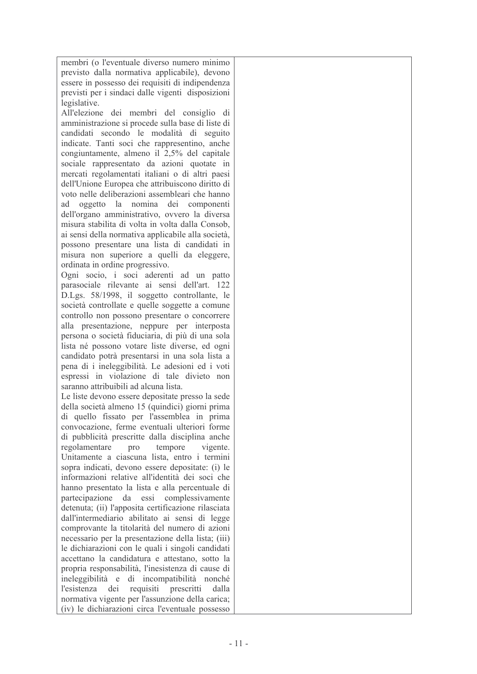membri (o l'eventuale diverso numero minimo previsto dalla normativa applicabile), devono essere in possesso dei requisiti di indipendenza previsti per i sindaci dalle vigenti disposizioni legislative.

All'elezione dei membri del consiglio di amministrazione si procede sulla base di liste di candidati secondo le modalità di seguito indicate. Tanti soci che rappresentino, anche congiuntamente, almeno il  $2,5%$  del capitale sociale rappresentato da azioni quotate in mercati regolamentati italiani o di altri paesi dell'Unione Europea che attribuiscono diritto di voto nelle deliberazioni assembleari che hanno ad oggetto la nomina dei componenti dell'organo amministrativo, ovvero la diversa misura stabilita di volta in volta dalla Consob. ai sensi della normativa applicabile alla società. possono presentare una lista di candidati in misura non superiore a quelli da eleggere, ordinata in ordine progressivo.

Ogni socio, i soci aderenti ad un patto parasociale rilevante ai sensi dell'art. 122 D.Lgs. 58/1998, il soggetto controllante, le società controllate e quelle soggette a comune controllo non possono presentare o concorrere alla presentazione, neppure per interposta persona o società fiduciaria, di più di una sola lista né possono votare liste diverse, ed ogni candidato potrà presentarsi in una sola lista a pena di i ineleggibilità. Le adesioni ed i voti espressi in violazione di tale divieto non saranno attribuibili ad alcuna lista.

Le liste devono essere depositate presso la sede della società almeno 15 (quindici) giorni prima di quello fissato per l'assemblea in prima convocazione, ferme eventuali ulteriori forme di pubblicità prescritte dalla disciplina anche regolamentare pro tempore vigente. Unitamente a ciascuna lista, entro i termini sopra indicati, devono essere depositate: (i) le informazioni relative all'identità dei soci che hanno presentato la lista e alla percentuale di partecipazione da essi complessivamente detenuta; (ii) l'apposita certificazione rilasciata dall'intermediario abilitato ai sensi di legge comprovante la titolarità del numero di azioni necessario per la presentazione della lista; (iii) le dichiarazioni con le quali i singoli candidati accettano la candidatura e attestano, sotto la propria responsabilità, l'inesistenza di cause di ineleggibilità e di incompatibilità nonché l'esistenza dei requisiti prescritti dalla normativa vigente per l'assunzione della carica; (iv) le dichiarazioni circa l'eventuale possesso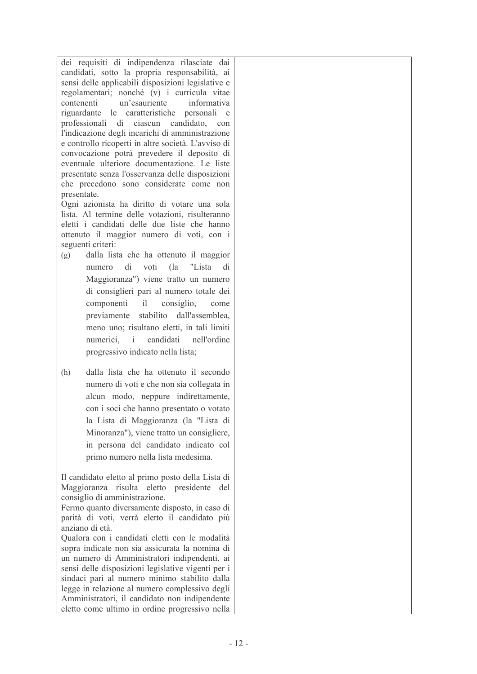dei requisiti di indipendenza rilasciate dai candidati, sotto la propria responsabilità, ai sensi delle applicabili disposizioni legislative e regolamentari; nonché (v) i curricula vitae contenenti un'esauriente informativa riguardante le caratteristiche personali e professionali di ciascun candidato con l'indicazione degli incarichi di amministrazione e controllo ricoperti in altre società. L'avviso di convocazione potrà prevedere il deposito di eventuale ulteriore documentazione. Le liste presentate senza l'osservanza delle disposizioni che precedono sono considerate come non presentate.

Ogni azionista ha diritto di votare una sola lista. Al termine delle votazioni, risulteranno eletti i candidati delle due liste che hanno ottenuto il maggior numero di voti, con i seguenti criteri:

- $(g)$ dalla lista che ha ottenuto il maggior numero di voti  $\int$ "Lista  $di$ Maggioranza") viene tratto un numero di consiglieri pari al numero totale dei componenti  $i$ consiglio. come previamente stabilito dall'assemblea. meno uno; risultano eletti, in tali limiti candidati nell'ordine numerici.  $\mathbf{i}$ progressivo indicato nella lista;
- $(h)$ dalla lista che ha ottenuto il secondo numero di voti e che non sia collegata in alcun modo, neppure indirettamente, con i soci che hanno presentato o votato la Lista di Maggioranza (la "Lista di Minoranza"), viene tratto un consigliere, in persona del candidato indicato col primo numero nella lista medesima.

Il candidato eletto al primo posto della Lista di Maggioranza risulta eletto presidente del consiglio di amministrazione. Fermo quanto diversamente disposto, in caso di parità di voti, verrà eletto il candidato più anziano di età. Qualora con i candidati eletti con le modalità sopra indicate non sia assicurata la nomina di un numero di Amministratori indipendenti, ai sensi delle disposizioni legislative vigenti per i sindaci pari al numero minimo stabilito dalla legge in relazione al numero complessivo degli Amministratori, il candidato non indipendente eletto come ultimo in ordine progressivo nella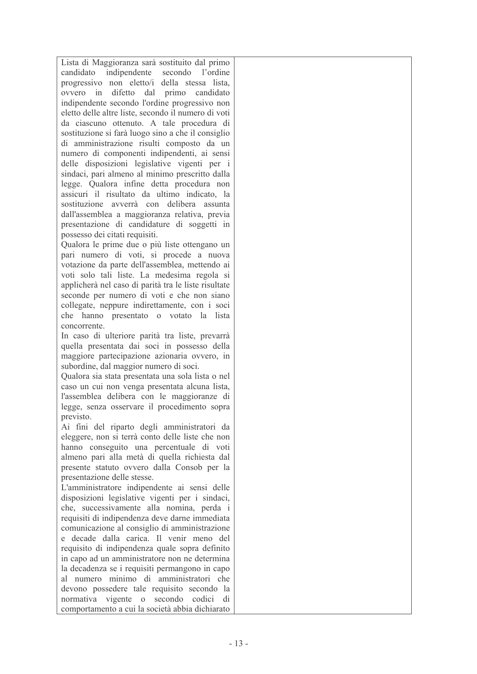Lista di Maggioranza sarà sostituito dal primo candidato indipendente secondo l'ordine progressivo non eletto/i della stessa lista, ovvero in difetto dal primo candidato indipendente secondo l'ordine progressivo non eletto delle altre liste, secondo il numero di voti da ciascuno ottenuto. A tale procedura di sostituzione si farà luogo sino a che il consiglio di amministrazione risulti composto da un numero di componenti indipendenti, ai sensi delle disposizioni legislative vigenti per i sindaci, pari almeno al minimo prescritto dalla legge. Qualora infine detta procedura non assicuri il risultato da ultimo indicato. la sostituzione avverrà con delibera assunta dall'assemblea a maggioranza relativa, previa presentazione di candidature di soggetti in possesso dei citati requisiti.

Qualora le prime due o più liste ottengano un pari numero di voti, si procede a nuova votazione da parte dell'assemblea, mettendo ai voti solo tali liste. La medesima regola si applicherà nel caso di parità tra le liste risultate seconde per numero di voti e che non siano collegate, neppure indirettamente, con i soci che hanno presentato o votato la lista concorrente.

In caso di ulteriore parità tra liste, prevarrà quella presentata dai soci in possesso della maggiore partecipazione azionaria ovvero, in subordine, dal maggior numero di soci.

Qualora sia stata presentata una sola lista o nel caso un cui non venga presentata alcuna lista, l'assemblea delibera con le maggioranze di legge, senza osservare il procedimento sopra previsto

Ai fini del riparto degli amministratori da eleggere, non si terrà conto delle liste che non hanno conseguito una percentuale di voti almeno pari alla metà di quella richiesta dal presente statuto ovvero dalla Consob per la presentazione delle stesse.

L'amministratore indipendente ai sensi delle disposizioni legislative vigenti per i sindaci, che, successivamente alla nomina, perda i requisiti di indipendenza deve darne immediata comunicazione al consiglio di amministrazione e decade dalla carica. Il venir meno del requisito di indipendenza quale sopra definito in capo ad un amministratore non ne determina la decadenza se i requisiti permangono in capo al numero minimo di amministratori che devono possedere tale requisito secondo la normativa vigente o secondo codici di comportamento a cui la società abbia dichiarato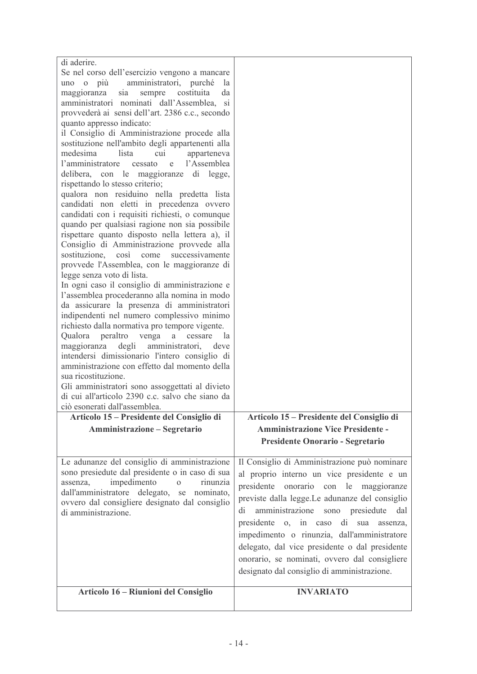| di aderire.<br>Se nel corso dell'esercizio vengono a mancare<br>amministratori, purché<br>uno o più<br>la<br>costituita<br>maggioranza<br>sia<br>sempre<br>da<br>amministratori nominati dall'Assemblea,<br><sub>Si</sub>                                                                                  |                                                                                                                                                                                                                                                                                                                                                                                                                                                                                              |
|------------------------------------------------------------------------------------------------------------------------------------------------------------------------------------------------------------------------------------------------------------------------------------------------------------|----------------------------------------------------------------------------------------------------------------------------------------------------------------------------------------------------------------------------------------------------------------------------------------------------------------------------------------------------------------------------------------------------------------------------------------------------------------------------------------------|
| provvederà ai sensi dell'art. 2386 c.c., secondo<br>quanto appresso indicato:<br>il Consiglio di Amministrazione procede alla<br>sostituzione nell'ambito degli appartenenti alla<br>medesima<br>lista<br>cui<br>apparteneva<br>l'amministratore<br>l'Assemblea<br>cessato<br>e                            |                                                                                                                                                                                                                                                                                                                                                                                                                                                                                              |
| delibera, con le maggioranze di legge,<br>rispettando lo stesso criterio;<br>qualora non residuino nella predetta lista<br>candidati non eletti in precedenza ovvero<br>candidati con i requisiti richiesti, o comunque<br>quando per qualsiasi ragione non sia possibile                                  |                                                                                                                                                                                                                                                                                                                                                                                                                                                                                              |
| rispettare quanto disposto nella lettera a), il<br>Consiglio di Amministrazione provvede alla<br>sostituzione,<br>così<br>come<br>successivamente<br>provvede l'Assemblea, con le maggioranze di<br>legge senza voto di lista.                                                                             |                                                                                                                                                                                                                                                                                                                                                                                                                                                                                              |
| In ogni caso il consiglio di amministrazione e<br>l'assemblea procederanno alla nomina in modo<br>da assicurare la presenza di amministratori<br>indipendenti nel numero complessivo minimo<br>richiesto dalla normativa pro tempore vigente.<br>peraltro<br>Qualora<br>venga<br>cessare<br>$\rm{a}$<br>la |                                                                                                                                                                                                                                                                                                                                                                                                                                                                                              |
| maggioranza degli<br>amministratori,<br>deve<br>intendersi dimissionario l'intero consiglio di<br>amministrazione con effetto dal momento della<br>sua ricostituzione.<br>Gli amministratori sono assoggettati al divieto<br>di cui all'articolo 2390 c.c. salvo che siano da                              |                                                                                                                                                                                                                                                                                                                                                                                                                                                                                              |
| ciò esonerati dall'assemblea.                                                                                                                                                                                                                                                                              |                                                                                                                                                                                                                                                                                                                                                                                                                                                                                              |
| Articolo 15 – Presidente del Consiglio di                                                                                                                                                                                                                                                                  | Articolo 15 – Presidente del Consiglio di                                                                                                                                                                                                                                                                                                                                                                                                                                                    |
| Amministrazione - Segretario                                                                                                                                                                                                                                                                               | <b>Amministrazione Vice Presidente -</b><br>Presidente Onorario - Segretario                                                                                                                                                                                                                                                                                                                                                                                                                 |
| Le adunanze del consiglio di amministrazione<br>sono presiedute dal presidente o in caso di sua<br>impedimento<br>assenza,<br>$\Omega$<br>rinunzia<br>dall'amministratore delegato, se nominato,<br>ovvero dal consigliere designato dal consiglio<br>di amministrazione.                                  | Il Consiglio di Amministrazione può nominare<br>al proprio interno un vice presidente e un<br>presidente<br>onorario con le maggioranze<br>previste dalla legge.Le adunanze del consiglio<br>amministrazione sono presiedute<br>di<br>dal<br>di<br>presidente o, in caso<br>sua<br>assenza,<br>impedimento o rinunzia, dall'amministratore<br>delegato, dal vice presidente o dal presidente<br>onorario, se nominati, ovvero dal consigliere<br>designato dal consiglio di amministrazione. |
| Articolo 16 - Riunioni del Consiglio                                                                                                                                                                                                                                                                       | <b>INVARIATO</b>                                                                                                                                                                                                                                                                                                                                                                                                                                                                             |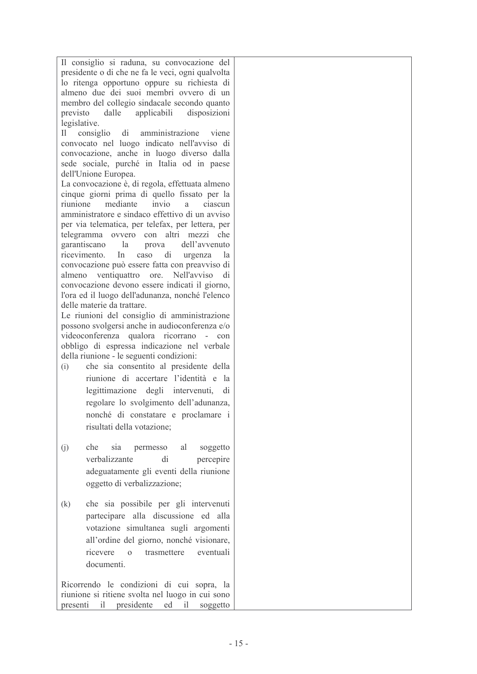| Il consiglio si raduna, su convocazione del         |  |
|-----------------------------------------------------|--|
| presidente o di che ne fa le veci, ogni qualvolta   |  |
| lo ritenga opportuno oppure su richiesta di         |  |
| almeno due dei suoi membri ovvero di un             |  |
| membro del collegio sindacale secondo quanto        |  |
| previsto dalle applicabili disposizioni             |  |
| legislative.                                        |  |
| Il consiglio di amministrazione viene               |  |
| convocato nel luogo indicato nell'avviso di         |  |
| convocazione, anche in luogo diverso dalla          |  |
| sede sociale, purché in Italia od in paese          |  |
| dell'Unione Europea.                                |  |
| La convocazione è, di regola, effettuata almeno     |  |
| cinque giorni prima di quello fissato per la        |  |
| riunione mediante invio a ciascun                   |  |
| amministratore e sindaco effettivo di un avviso     |  |
| per via telematica, per telefax, per lettera, per   |  |
| telegramma ovvero con altri mezzi che               |  |
| garantiscano la<br>prova dell'avvenuto              |  |
| ricevimento.<br>In caso di urgenza<br>la            |  |
| convocazione può essere fatta con preavviso di      |  |
| almeno ventiquattro ore. Nell'avviso<br>di          |  |
| convocazione devono essere indicati il giorno,      |  |
| l'ora ed il luogo dell'adunanza, nonché l'elenco    |  |
| delle materie da trattare.                          |  |
| Le riunioni del consiglio di amministrazione        |  |
| possono svolgersi anche in audioconferenza e/o      |  |
| videoconferenza qualora ricorrano -<br>con          |  |
| obbligo di espressa indicazione nel verbale         |  |
| della riunione - le seguenti condizioni:            |  |
| che sia consentito al presidente della<br>(i)       |  |
| riunione di accertare l'identità e<br><sub>la</sub> |  |
| legittimazione degli intervenuti,<br>di             |  |
| regolare lo svolgimento dell'adunanza,              |  |
| nonché di constatare e proclamare i                 |  |
|                                                     |  |
| risultati della votazione;                          |  |
|                                                     |  |
| che sia permesso al soggetto<br>(j)                 |  |
| verbalizzante<br>di<br>percepire                    |  |
| adeguatamente gli eventi della riunione             |  |
| oggetto di verbalizzazione;                         |  |
|                                                     |  |
| che sia possibile per gli intervenuti<br>(k)        |  |
| partecipare alla discussione ed alla                |  |
| votazione simultanea sugli argomenti                |  |
|                                                     |  |
| all'ordine del giorno, nonché visionare,            |  |
| trasmettere eventuali<br>ricevere o                 |  |
| documenti.                                          |  |
|                                                     |  |
| Ricorrendo le condizioni di cui sopra, la           |  |
| riunione si ritiene svolta nel luogo in cui sono    |  |
| presenti il presidente ed il soggetto               |  |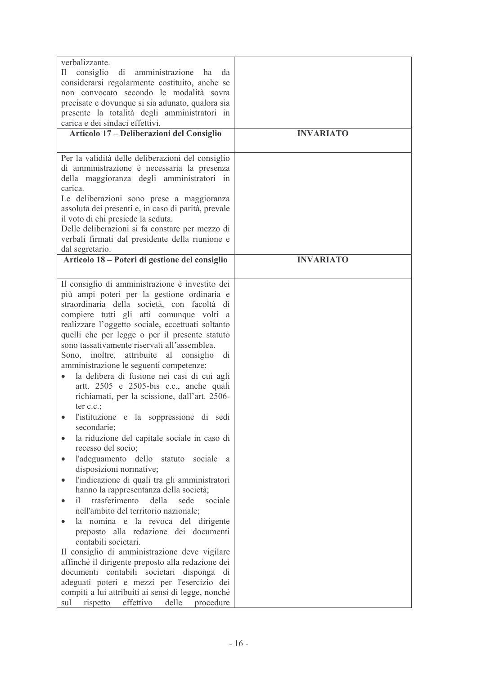| verbalizzante.<br>consiglio<br>di amministrazione ha<br>II<br>da<br>considerarsi regolarmente costituito, anche se<br>non convocato secondo le modalità sovra<br>precisate e dovunque si sia adunato, qualora sia<br>presente la totalità degli amministratori in<br>carica e dei sindaci effettivi.<br>Articolo 17 - Deliberazioni del Consiglio<br>Per la validità delle deliberazioni del consiglio                                                                                                                                                                                                                                                                                                                                                                                                                                                                                                                                                                                                                                                                                                                                                                                                                                                                                                                                                                                                                                                                          | <b>INVARIATO</b> |
|---------------------------------------------------------------------------------------------------------------------------------------------------------------------------------------------------------------------------------------------------------------------------------------------------------------------------------------------------------------------------------------------------------------------------------------------------------------------------------------------------------------------------------------------------------------------------------------------------------------------------------------------------------------------------------------------------------------------------------------------------------------------------------------------------------------------------------------------------------------------------------------------------------------------------------------------------------------------------------------------------------------------------------------------------------------------------------------------------------------------------------------------------------------------------------------------------------------------------------------------------------------------------------------------------------------------------------------------------------------------------------------------------------------------------------------------------------------------------------|------------------|
| di amministrazione è necessaria la presenza<br>della maggioranza degli amministratori in<br>carica.<br>Le deliberazioni sono prese a maggioranza<br>assoluta dei presenti e, in caso di parità, prevale<br>il voto di chi presiede la seduta.<br>Delle deliberazioni si fa constare per mezzo di<br>verbali firmati dal presidente della riunione e<br>dal segretario.                                                                                                                                                                                                                                                                                                                                                                                                                                                                                                                                                                                                                                                                                                                                                                                                                                                                                                                                                                                                                                                                                                          |                  |
| Articolo 18 – Poteri di gestione del consiglio                                                                                                                                                                                                                                                                                                                                                                                                                                                                                                                                                                                                                                                                                                                                                                                                                                                                                                                                                                                                                                                                                                                                                                                                                                                                                                                                                                                                                                  | <b>INVARIATO</b> |
| Il consiglio di amministrazione è investito dei<br>più ampi poteri per la gestione ordinaria e<br>straordinaria della società, con facoltà di<br>compiere tutti gli atti comunque volti a<br>realizzare l'oggetto sociale, eccettuati soltanto<br>quelli che per legge o per il presente statuto<br>sono tassativamente riservati all'assemblea.<br>Sono, inoltre, attribuite al consiglio<br>di<br>amministrazione le seguenti competenze:<br>la delibera di fusione nei casi di cui agli<br>artt. 2505 e 2505-bis c.c., anche quali<br>richiamati, per la scissione, dall'art. 2506-<br>ter $c.c.$ ;<br>l'istituzione e la soppressione di sedi<br>secondarie;<br>la riduzione del capitale sociale in caso di<br>$\bullet$<br>recesso del socio;<br>l'adeguamento dello statuto sociale a<br>$\bullet$<br>disposizioni normative;<br>l'indicazione di quali tra gli amministratori<br>$\bullet$<br>hanno la rappresentanza della società;<br>trasferimento<br>della<br>sede<br>sociale<br>il.<br>$\bullet$<br>nell'ambito del territorio nazionale;<br>la nomina e la revoca del dirigente<br>preposto alla redazione dei documenti<br>contabili societari.<br>Il consiglio di amministrazione deve vigilare<br>affinché il dirigente preposto alla redazione dei<br>documenti contabili societari<br>disponga di<br>adeguati poteri e mezzi per l'esercizio dei<br>compiti a lui attribuiti ai sensi di legge, nonché<br>effettivo<br>rispetto<br>delle<br>procedure<br>sul |                  |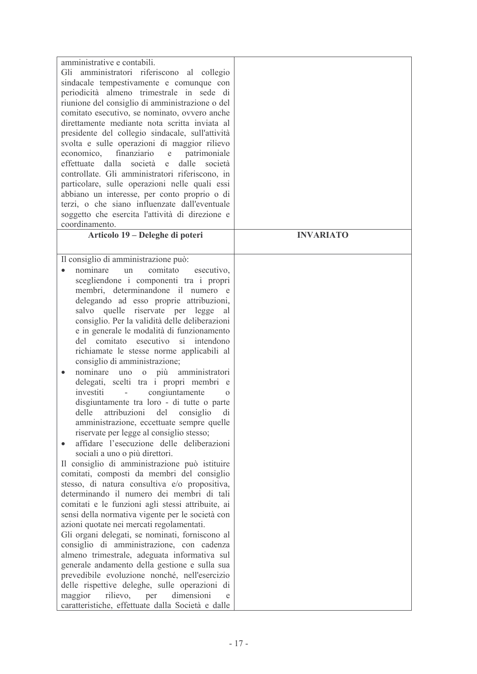| amministrative e contabili.                                                                     |                  |
|-------------------------------------------------------------------------------------------------|------------------|
| Gli amministratori riferiscono al collegio                                                      |                  |
| sindacale tempestivamente e comunque con<br>periodicità almeno trimestrale in sede di           |                  |
| riunione del consiglio di amministrazione o del                                                 |                  |
| comitato esecutivo, se nominato, ovvero anche                                                   |                  |
| direttamente mediante nota scritta inviata al                                                   |                  |
| presidente del collegio sindacale, sull'attività                                                |                  |
| svolta e sulle operazioni di maggior rilievo                                                    |                  |
| finanziario<br>patrimoniale<br>economico,<br>e                                                  |                  |
| dalle<br>effettuate<br>dalla<br>società<br>società<br>e                                         |                  |
| controllate. Gli amministratori riferiscono, in                                                 |                  |
| particolare, sulle operazioni nelle quali essi                                                  |                  |
| abbiano un interesse, per conto proprio o di                                                    |                  |
| terzi, o che siano influenzate dall'eventuale                                                   |                  |
| soggetto che esercita l'attività di direzione e                                                 |                  |
| coordinamento.<br>Articolo 19 – Deleghe di poteri                                               | <b>INVARIATO</b> |
|                                                                                                 |                  |
| Il consiglio di amministrazione può:                                                            |                  |
| comitato<br>nominare<br>esecutivo,<br>un<br>$\bullet$                                           |                  |
| scegliendone i componenti tra i propri                                                          |                  |
| membri, determinandone il numero e                                                              |                  |
| delegando ad esso proprie attribuzioni,                                                         |                  |
| salvo quelle riservate per legge<br>al                                                          |                  |
| consiglio. Per la validità delle deliberazioni                                                  |                  |
| e in generale le modalità di funzionamento                                                      |                  |
| si intendono<br>del comitato<br>esecutivo                                                       |                  |
| richiamate le stesse norme applicabili al<br>consiglio di amministrazione;                      |                  |
| nominare<br>più amministratori<br>uno<br>$\mathbf{O}$<br>$\bullet$                              |                  |
| delegati, scelti tra i propri membri e                                                          |                  |
| investiti<br>congiuntamente<br>$\Omega$                                                         |                  |
| disgiuntamente tra loro - di tutte o parte                                                      |                  |
| delle<br>attribuzioni<br>del consiglio<br>di                                                    |                  |
| amministrazione, eccettuate sempre quelle                                                       |                  |
| riservate per legge al consiglio stesso;                                                        |                  |
| affidare l'esecuzione delle deliberazioni                                                       |                  |
| sociali a uno o più direttori.                                                                  |                  |
| Il consiglio di amministrazione può istituire<br>comitati, composti da membri del consiglio     |                  |
| stesso, di natura consultiva e/o propositiva,                                                   |                  |
| determinando il numero dei membri di tali                                                       |                  |
| comitati e le funzioni agli stessi attribuite, ai                                               |                  |
| sensi della normativa vigente per le società con                                                |                  |
| azioni quotate nei mercati regolamentati.                                                       |                  |
| Gli organi delegati, se nominati, forniscono al                                                 |                  |
| consiglio di amministrazione, con cadenza                                                       |                  |
| almeno trimestrale, adeguata informativa sul                                                    |                  |
| generale andamento della gestione e sulla sua                                                   |                  |
| prevedibile evoluzione nonché, nell'esercizio                                                   |                  |
| delle rispettive deleghe, sulle operazioni di                                                   |                  |
| maggior<br>rilievo, per<br>dimensioni<br>e<br>caratteristiche, effettuate dalla Società e dalle |                  |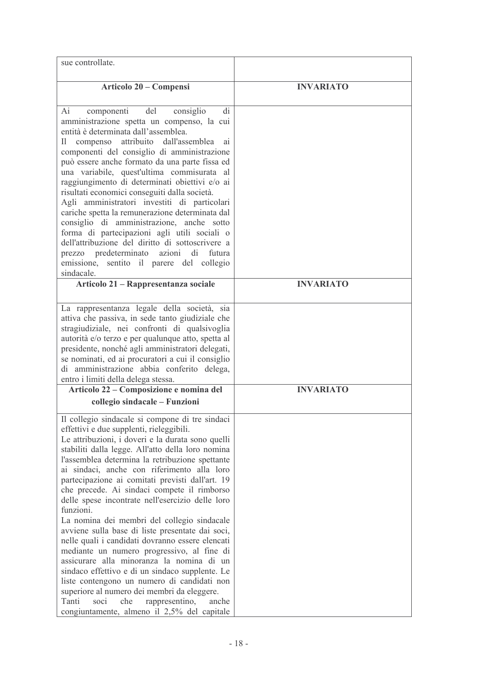| sue controllate.                                                                                                                                                                                                                                                                                                                                                                                                                                                                                                                                                                                                                                                                                                                                                                                                                                                                                                                                                                 |                  |
|----------------------------------------------------------------------------------------------------------------------------------------------------------------------------------------------------------------------------------------------------------------------------------------------------------------------------------------------------------------------------------------------------------------------------------------------------------------------------------------------------------------------------------------------------------------------------------------------------------------------------------------------------------------------------------------------------------------------------------------------------------------------------------------------------------------------------------------------------------------------------------------------------------------------------------------------------------------------------------|------------------|
| Articolo 20 – Compensi                                                                                                                                                                                                                                                                                                                                                                                                                                                                                                                                                                                                                                                                                                                                                                                                                                                                                                                                                           | <b>INVARIATO</b> |
| componenti<br>del<br>consiglio<br>Ai<br>di<br>amministrazione spetta un compenso, la cui<br>entità è determinata dall'assemblea.<br>compenso attribuito<br>dall'assemblea<br>H<br>a <sub>1</sub><br>componenti del consiglio di amministrazione<br>può essere anche formato da una parte fissa ed<br>una variabile, quest'ultima commisurata al<br>raggiungimento di determinati obiettivi e/o ai<br>risultati economici conseguiti dalla società.<br>Agli amministratori investiti di particolari<br>cariche spetta la remunerazione determinata dal<br>consiglio di amministrazione, anche sotto<br>forma di partecipazioni agli utili sociali o<br>dell'attribuzione del diritto di sottoscrivere a<br>predeterminato<br>azioni<br>di<br>futura<br>prezzo<br>emissione, sentito il parere del collegio<br>sindacale.                                                                                                                                                          |                  |
| Articolo 21 – Rappresentanza sociale                                                                                                                                                                                                                                                                                                                                                                                                                                                                                                                                                                                                                                                                                                                                                                                                                                                                                                                                             | <b>INVARIATO</b> |
| La rappresentanza legale della società, sia<br>attiva che passiva, in sede tanto giudiziale che<br>stragiudiziale, nei confronti di qualsivoglia<br>autorità e/o terzo e per qualunque atto, spetta al<br>presidente, nonché agli amministratori delegati,<br>se nominati, ed ai procuratori a cui il consiglio<br>di amministrazione abbia conferito delega,<br>entro i limiti della delega stessa.                                                                                                                                                                                                                                                                                                                                                                                                                                                                                                                                                                             |                  |
| Articolo 22 – Composizione e nomina del                                                                                                                                                                                                                                                                                                                                                                                                                                                                                                                                                                                                                                                                                                                                                                                                                                                                                                                                          | <b>INVARIATO</b> |
| collegio sindacale - Funzioni                                                                                                                                                                                                                                                                                                                                                                                                                                                                                                                                                                                                                                                                                                                                                                                                                                                                                                                                                    |                  |
| Il collegio sindacale si compone di tre sindaci<br>effettivi e due supplenti, rieleggibili.<br>Le attribuzioni, i doveri e la durata sono quelli<br>stabiliti dalla legge. All'atto della loro nomina<br>l'assemblea determina la retribuzione spettante<br>ai sindaci, anche con riferimento alla loro<br>partecipazione ai comitati previsti dall'art. 19<br>che precede. Ai sindaci compete il rimborso<br>delle spese incontrate nell'esercizio delle loro<br>funzioni.<br>La nomina dei membri del collegio sindacale<br>avviene sulla base di liste presentate dai soci,<br>nelle quali i candidati dovranno essere elencati<br>mediante un numero progressivo, al fine di<br>assicurare alla minoranza la nomina di un<br>sindaco effettivo e di un sindaco supplente. Le<br>liste contengono un numero di candidati non<br>superiore al numero dei membri da eleggere.<br>Tanti<br>soci<br>che<br>rappresentino,<br>anche<br>congiuntamente, almeno il 2,5% del capitale |                  |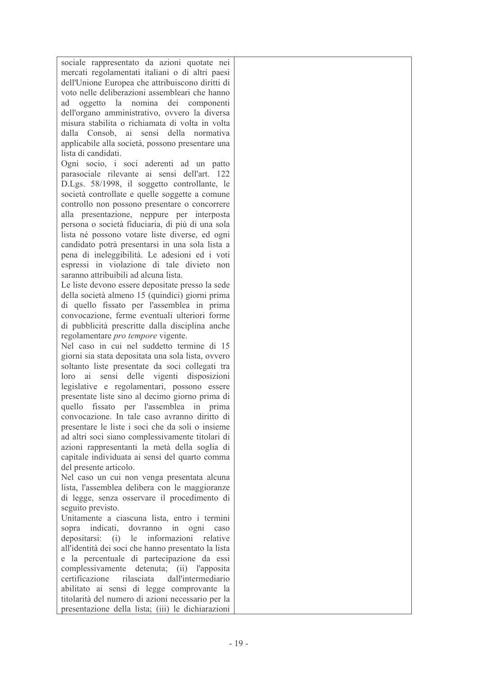sociale rappresentato da azioni quotate nei mercati regolamentati italiani o di altri paesi dell'Unione Europea che attribuiscono diritti di voto nelle deliberazioni assembleari che hanno ad oggetto la nomina dei componenti dell'organo amministrativo, ovvero la diversa misura stabilita o richiamata di volta in volta dalla Consob ai sensi della normativa applicabile alla società, possono presentare una lista di candidati.

Ogni socio, i soci aderenti ad un patto parasociale rilevante ai sensi dell'art. 122 D.Lgs. 58/1998, il soggetto controllante, le società controllate e quelle soggette a comune controllo non possono presentare o concorrere alla presentazione, neppure per interposta persona o società fiduciaria, di più di una sola lista né possono votare liste diverse, ed ogni candidato potrà presentarsi in una sola lista a pena di ineleggibilità. Le adesioni ed i voti espressi in violazione di tale divieto non saranno attribuibili ad alcuna lista.

Le liste devono essere depositate presso la sede della società almeno 15 (quindici) giorni prima di quello fissato per l'assemblea in prima convocazione, ferme eventuali ulteriori forme di pubblicità prescritte dalla disciplina anche regolamentare pro tempore vigente.

Nel caso in cui nel suddetto termine di 15 giorni sia stata depositata una sola lista, ovvero soltanto liste presentate da soci collegati tra loro ai sensi delle vigenti disposizioni legislative e regolamentari, possono essere presentate liste sino al decimo giorno prima di quello fissato per l'assemblea in prima convocazione. In tale caso avranno diritto di presentare le liste i soci che da soli o insieme ad altri soci siano complessivamente titolari di azioni rappresentanti la metà della soglia di capitale individuata ai sensi del quarto comma del presente articolo.

Nel caso un cui non venga presentata alcuna lista. l'assemblea delibera con le maggioranze di legge, senza osservare il procedimento di seguito previsto.

Unitamente a ciascuna lista, entro i termini sopra indicati, dovranno in ogni caso depositarsi: (i) le informazioni relative all'identità dei soci che hanno presentato la lista e la percentuale di partecipazione da essi complessivamente detenuta: (ii) l'apposita certificazione dall'intermediario rilasciata abilitato ai sensi di legge comprovante la titolarità del numero di azioni necessario per la presentazione della lista: (iii) le dichiarazioni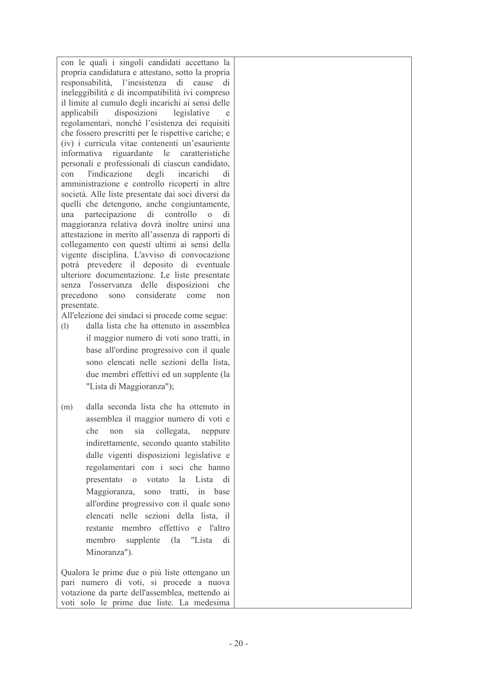con le quali i singoli candidati accettano la propria candidatura e attestano, sotto la propria responsabilità, l'inesistenza di cause di ineleggibilità e di incompatibilità ivi compreso il limite al cumulo degli incarichi ai sensi delle disposizioni legislative applicabili  $\Delta$ regolamentari, nonché l'esistenza dei requisiti che fossero prescritti per le rispettive cariche; e (iv) i curricula vitae contenenti un'esauriente informativa riguardante le caratteristiche personali e professionali di ciascun candidato. *l'indicazione* degli  $con$ incarichi  $di$ amministrazione e controllo ricoperti in altre società. Alle liste presentate dai soci diversi da quelli che detengono, anche congiuntamente, una partecipazione di controllo  $\overline{0}$ di maggioranza relativa dovrà inoltre unirsi una attestazione in merito all'assenza di rapporti di collegamento con questi ultimi ai sensi della vigente disciplina. L'avviso di convocazione potrà prevedere il deposito di eventuale ulteriore documentazione. Le liste presentate senza l'osservanza delle disposizioni che precedono sono considerate come  $non$ presentate.

All'elezione dei sindaci si procede come segue:

- dalla lista che ha ottenuto in assemblea  $(1)$ il maggior numero di voti sono tratti, in base all'ordine progressivo con il quale sono elencati nelle sezioni della lista. due membri effettivi ed un supplente (la "Lista di Maggioranza");
- dalla seconda lista che ha ottenuto in  $(m)$ assemblea il maggior numero di voti e che non sia collegata, neppure indirettamente, secondo quanto stabilito dalle vigenti disposizioni legislative e regolamentari con i soci che hanno presentato o votato la Lista di Maggioranza, sono tratti, in base all'ordine progressivo con il quale sono elencati nelle sezioni della lista il restante membro effettivo e l'altro membro supplente (la "Lista di Minoranza").

Qualora le prime due o più liste ottengano un pari numero di voti, si procede a nuova votazione da parte dell'assemblea, mettendo ai voti solo le prime due liste. La medesima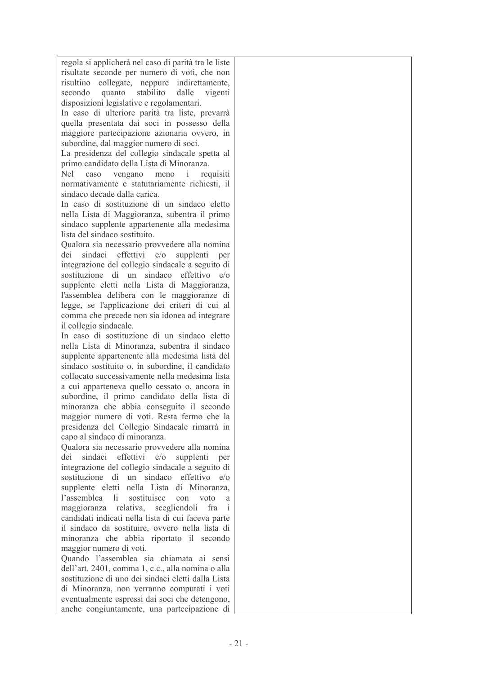regola si applicherà nel caso di parità tra le liste risultate seconde per numero di voti, che non risultino collegate, neppure indirettamente, quanto stabilito dalle vigenti secondo disposizioni legislative e regolamentari. In caso di ulteriore parità tra liste, prevarrà

quella presentata dai soci in possesso della maggiore partecipazione azionaria ovvero, in subordine, dal maggior numero di soci.

La presidenza del collegio sindacale spetta al primo candidato della Lista di Minoranza

vengano meno i requisiti **Nel**  $caso$ normativamente e statutariamente richiesti, il sindaco decade dalla carica.

In caso di sostituzione di un sindaco eletto nella Lista di Maggioranza, subentra il primo sindaco supplente appartenente alla medesima lista del sindaco sostituito

Qualora sia necessario provvedere alla nomina dei sindaci effettivi e/o supplenti per integrazione del collegio sindacale a seguito di sostituzione di un sindaco effettivo e/o supplente eletti nella Lista di Maggioranza, l'assemblea delibera con le maggioranze di legge, se l'applicazione dei criteri di cui al comma che precede non sia idonea ad integrare il collegio sindacale.

In caso di sostituzione di un sindaco eletto nella Lista di Minoranza, subentra il sindaco supplente appartenente alla medesima lista del sindaco sostituito o, in subordine, il candidato collocato successivamente nella medesima lista a cui apparteneva quello cessato o, ancora in subordine, il primo candidato della lista di minoranza che abbia conseguito il secondo maggior numero di voti. Resta fermo che la presidenza del Collegio Sindacale rimarrà in capo al sindaco di minoranza.

Qualora sia necessario provvedere alla nomina dei sindaci effettivi e/o supplenti per integrazione del collegio sindacale a seguito di sostituzione di un sindaco effettivo e/o supplente eletti nella Lista di Minoranza. l'assemblea li sostituisce con voto a maggioranza relativa, scegliendoli fra i candidati indicati nella lista di cui faceva parte il sindaco da sostituire, ovvero nella lista di minoranza che abbia riportato il secondo maggior numero di voti.

Quando l'assemblea sia chiamata ai sensi dell'art. 2401. comma 1. c.c., alla nomina o alla sostituzione di uno dei sindaci eletti dalla Lista di Minoranza, non verranno computati i voti eventualmente espressi dai soci che detengono, anche congiuntamente, una partecipazione di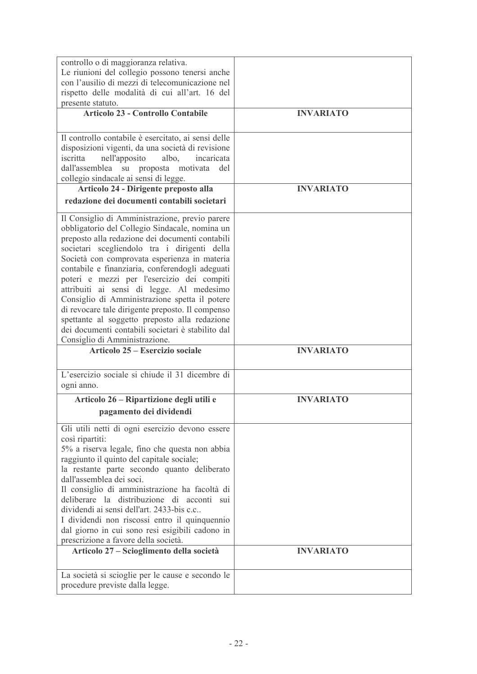| controllo o di maggioranza relativa.<br>Le riunioni del collegio possono tenersi anche                                                                                                                                                                                                                                                                                                                                                                                                                                                                                                                                                        |                  |
|-----------------------------------------------------------------------------------------------------------------------------------------------------------------------------------------------------------------------------------------------------------------------------------------------------------------------------------------------------------------------------------------------------------------------------------------------------------------------------------------------------------------------------------------------------------------------------------------------------------------------------------------------|------------------|
| con l'ausilio di mezzi di telecomunicazione nel<br>rispetto delle modalità di cui all'art. 16 del                                                                                                                                                                                                                                                                                                                                                                                                                                                                                                                                             |                  |
| presente statuto.<br><b>Articolo 23 - Controllo Contabile</b>                                                                                                                                                                                                                                                                                                                                                                                                                                                                                                                                                                                 | <b>INVARIATO</b> |
| Il controllo contabile è esercitato, ai sensi delle<br>disposizioni vigenti, da una società di revisione<br>iscritta<br>nell'apposito<br>albo,<br>incaricata<br>dall'assemblea<br>su proposta motivata<br>del<br>collegio sindacale ai sensi di legge.                                                                                                                                                                                                                                                                                                                                                                                        |                  |
| Articolo 24 - Dirigente preposto alla<br>redazione dei documenti contabili societari                                                                                                                                                                                                                                                                                                                                                                                                                                                                                                                                                          | <b>INVARIATO</b> |
| Il Consiglio di Amministrazione, previo parere<br>obbligatorio del Collegio Sindacale, nomina un<br>preposto alla redazione dei documenti contabili<br>societari scegliendolo tra i dirigenti della<br>Società con comprovata esperienza in materia<br>contabile e finanziaria, conferendogli adeguati<br>poteri e mezzi per l'esercizio dei compiti<br>attribuiti ai sensi di legge. Al medesimo<br>Consiglio di Amministrazione spetta il potere<br>di revocare tale dirigente preposto. Il compenso<br>spettante al soggetto preposto alla redazione<br>dei documenti contabili societari è stabilito dal<br>Consiglio di Amministrazione. |                  |
| Articolo 25 – Esercizio sociale                                                                                                                                                                                                                                                                                                                                                                                                                                                                                                                                                                                                               | <b>INVARIATO</b> |
| L'esercizio sociale si chiude il 31 dicembre di<br>ogni anno.                                                                                                                                                                                                                                                                                                                                                                                                                                                                                                                                                                                 |                  |
| Articolo 26 - Ripartizione degli utili e                                                                                                                                                                                                                                                                                                                                                                                                                                                                                                                                                                                                      | <b>INVARIATO</b> |
| pagamento dei dividendi                                                                                                                                                                                                                                                                                                                                                                                                                                                                                                                                                                                                                       |                  |
| Gli utili netti di ogni esercizio devono essere<br>così ripartiti:<br>5% a riserva legale, fino che questa non abbia<br>raggiunto il quinto del capitale sociale;<br>la restante parte secondo quanto deliberato<br>dall'assemblea dei soci.<br>Il consiglio di amministrazione ha facoltà di<br>deliberare la distribuzione di acconti sui<br>dividendi ai sensi dell'art. 2433-bis c.c<br>I dividendi non riscossi entro il quinquennio<br>dal giorno in cui sono resi esigibili cadono in<br>prescrizione a favore della società.                                                                                                          |                  |
| Articolo 27 – Scioglimento della società                                                                                                                                                                                                                                                                                                                                                                                                                                                                                                                                                                                                      | <b>INVARIATO</b> |
| La società si scioglie per le cause e secondo le                                                                                                                                                                                                                                                                                                                                                                                                                                                                                                                                                                                              |                  |